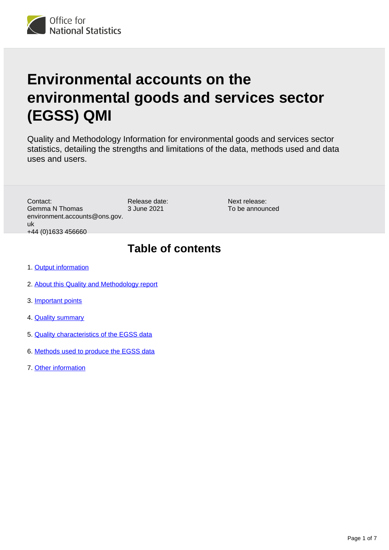

# **Environmental accounts on the environmental goods and services sector (EGSS) QMI**

Quality and Methodology Information for environmental goods and services sector statistics, detailing the strengths and limitations of the data, methods used and data uses and users.

Contact: Gemma N Thomas environment.accounts@ons.gov. uk +44 (0)1633 456660

Release date: 3 June 2021

Next release: To be announced

### **Table of contents**

- 1. [Output information](#page-1-0)
- 2. [About this Quality and Methodology report](#page-1-1)
- 3. [Important points](#page-1-2)
- 4. [Quality summary](#page-2-0)
- 5. [Quality characteristics of the EGSS data](#page-3-0)
- 6. [Methods used to produce the EGSS data](#page-4-0)
- 7. [Other information](#page-6-0)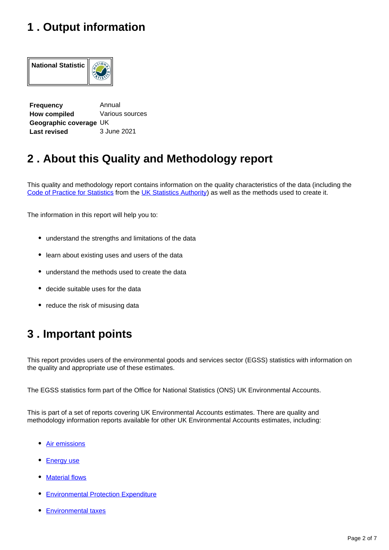### <span id="page-1-0"></span>**1 . Output information**



**Frequency Annual How compiled Various sources Geographic coverage** UK  **Last revised** 3 June 2021

# <span id="page-1-1"></span>**2 . About this Quality and Methodology report**

This quality and methodology report contains information on the quality characteristics of the data (including the [Code of Practice for Statistics](https://code.statisticsauthority.gov.uk/the-code/) from the [UK Statistics Authority\)](https://uksa.statisticsauthority.gov.uk/) as well as the methods used to create it.

The information in this report will help you to:

- understand the strengths and limitations of the data
- learn about existing uses and users of the data
- understand the methods used to create the data
- decide suitable uses for the data
- reduce the risk of misusing data

# <span id="page-1-2"></span>**3 . Important points**

This report provides users of the environmental goods and services sector (EGSS) statistics with information on the quality and appropriate use of these estimates.

The EGSS statistics form part of the Office for National Statistics (ONS) UK Environmental Accounts.

This is part of a set of reports covering UK Environmental Accounts estimates. There are quality and methodology information reports available for other UK Environmental Accounts estimates, including:

- [Air emissions](https://www.ons.gov.uk/economy/environmentalaccounts/methodologies/environmentalaccountsonairemissionsqmi)
- [Energy use](https://www.ons.gov.uk/economy/environmentalaccounts/methodologies/environmentalaccountsonenergyqmi)
- **[Material flows](https://www.ons.gov.uk/economy/environmentalaccounts/methodologies/environmentalaccountsonmaterialflowsqmi)**
- [Environmental Protection Expenditure](https://www.ons.gov.uk/economy/environmentalaccounts/methodologies/environmentalaccountsonenvironmentalprotectionexpenditureepeqmi)
- [Environmental taxes](https://www.ons.gov.uk/economy/environmentalaccounts/methodologies/environmentalaccountsonenvironmentaltaxesqmi)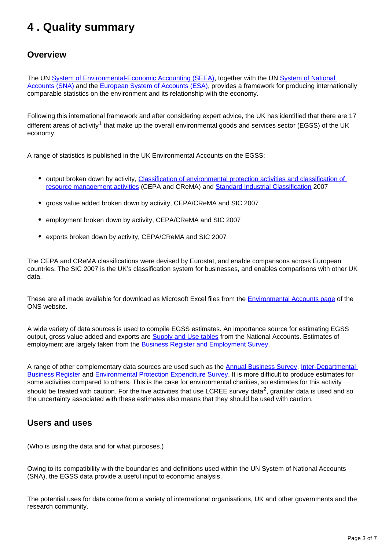# <span id="page-2-0"></span>**4 . Quality summary**

#### **Overview**

The UN [System of Environmental-Economic Accounting \(SEEA\)](https://seea.un.org/), together with the UN [System of National](https://unstats.un.org/unsd/nationalaccount/sna2008.asp)  [Accounts \(SNA\)](https://unstats.un.org/unsd/nationalaccount/sna2008.asp) and the [European System of Accounts \(ESA\)](https://ec.europa.eu/eurostat/web/esa-2010), provides a framework for producing internationally comparable statistics on the environment and its relationship with the economy.

Following this international framework and after considering expert advice, the UK has identified that there are 17 different areas of activity<sup>1</sup> that make up the overall environmental goods and services sector (EGSS) of the UK economy.

A range of statistics is published in the UK Environmental Accounts on the EGSS:

- output broken down by activity, Classification of environmental protection activities and classification of [resource management activities](https://ec.europa.eu/eurostat/ramon/nomenclatures/index.cfm?TargetUrl=LST_NOM_DTL&StrNom=CL_CEPAREM&StrLanguageCode=EN&IntPcKey=&StrLayoutCode=HIERARCHIC) (CEPA and CReMA) and [Standard Industrial Classification](https://www.ons.gov.uk/methodology/classificationsandstandards/ukstandardindustrialclassificationofeconomicactivities/uksic2007) 2007
- gross value added broken down by activity, CEPA/CReMA and SIC 2007
- employment broken down by activity, CEPA/CReMA and SIC 2007
- exports broken down by activity, CEPA/CReMA and SIC 2007

The CEPA and CReMA classifications were devised by Eurostat, and enable comparisons across European countries. The SIC 2007 is the UK's classification system for businesses, and enables comparisons with other UK data.

These are all made available for download as Microsoft Excel files from the [Environmental Accounts page](https://www.ons.gov.uk/economy/environmentalaccounts/datalist) of the ONS website.

A wide variety of data sources is used to compile EGSS estimates. An importance source for estimating EGSS output, gross value added and exports are **Supply and Use tables** from the National Accounts. Estimates of employment are largely taken from the [Business Register and Employment Survey.](https://www.ons.gov.uk/employmentandlabourmarket/peopleinwork/employmentandemployeetypes/bulletins/businessregisterandemploymentsurveybresprovisionalresults/previousReleases)

A range of other complementary data sources are used such as the [Annual Business Survey](https://www.ons.gov.uk/businessindustryandtrade/business/businessservices/methodologies/annualbusinesssurveyqmi), Inter-Departmental [Business Register](https://www.ons.gov.uk/aboutus/whatwedo/paidservices/interdepartmentalbusinessregisteridbr) and [Environmental Protection Expenditure Survey](https://www.ons.gov.uk/economy/environmentalaccounts/datasets/epeindustries). It is more difficult to produce estimates for some activities compared to others. This is the case for environmental charities, so estimates for this activity should be treated with caution. For the five activities that use LCREE survey data<sup>2</sup>, granular data is used and so the uncertainty associated with these estimates also means that they should be used with caution.

#### **Users and uses**

(Who is using the data and for what purposes.)

Owing to its compatibility with the boundaries and definitions used within the UN System of National Accounts (SNA), the EGSS data provide a useful input to economic analysis.

The potential uses for data come from a variety of international organisations, UK and other governments and the research community.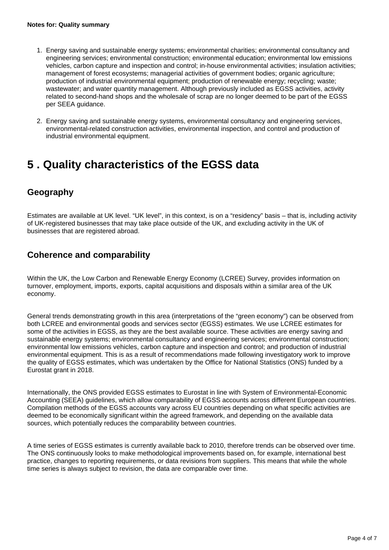- 1. Energy saving and sustainable energy systems; environmental charities; environmental consultancy and engineering services; environmental construction; environmental education; environmental low emissions vehicles, carbon capture and inspection and control; in-house environmental activities; insulation activities; management of forest ecosystems; managerial activities of government bodies; organic agriculture; production of industrial environmental equipment; production of renewable energy; recycling; waste; wastewater; and water quantity management. Although previously included as EGSS activities, activity related to second-hand shops and the wholesale of scrap are no longer deemed to be part of the EGSS per SEEA guidance.
- 2. Energy saving and sustainable energy systems, environmental consultancy and engineering services, environmental-related construction activities, environmental inspection, and control and production of industrial environmental equipment.

### <span id="page-3-0"></span>**5 . Quality characteristics of the EGSS data**

#### **Geography**

Estimates are available at UK level. "UK level", in this context, is on a "residency" basis – that is, including activity of UK-registered businesses that may take place outside of the UK, and excluding activity in the UK of businesses that are registered abroad.

#### **Coherence and comparability**

Within the UK, the Low Carbon and Renewable Energy Economy (LCREE) Survey, provides information on turnover, employment, imports, exports, capital acquisitions and disposals within a similar area of the UK economy.

General trends demonstrating growth in this area (interpretations of the "green economy") can be observed from both LCREE and environmental goods and services sector (EGSS) estimates. We use LCREE estimates for some of the activities in EGSS, as they are the best available source. These activities are energy saving and sustainable energy systems; environmental consultancy and engineering services; environmental construction; environmental low emissions vehicles, carbon capture and inspection and control; and production of industrial environmental equipment. This is as a result of recommendations made following investigatory work to improve the quality of EGSS estimates, which was undertaken by the Office for National Statistics (ONS) funded by a Eurostat grant in 2018.

Internationally, the ONS provided EGSS estimates to Eurostat in line with System of Environmental-Economic Accounting (SEEA) guidelines, which allow comparability of EGSS accounts across different European countries. Compilation methods of the EGSS accounts vary across EU countries depending on what specific activities are deemed to be economically significant within the agreed framework, and depending on the available data sources, which potentially reduces the comparability between countries.

A time series of EGSS estimates is currently available back to 2010, therefore trends can be observed over time. The ONS continuously looks to make methodological improvements based on, for example, international best practice, changes to reporting requirements, or data revisions from suppliers. This means that while the whole time series is always subject to revision, the data are comparable over time.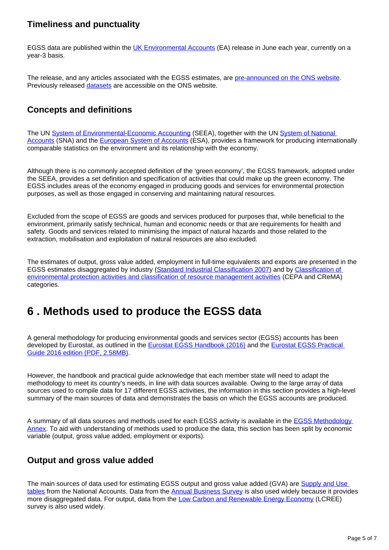#### **Timeliness and punctuality**

EGSS data are published within the [UK Environmental Accounts](https://www.ons.gov.uk/economy/environmentalaccounts/bulletins/ukenvironmentalaccounts/latest) (EA) release in June each year, currently on a year-3 basis.

The release, and any articles associated with the EGSS estimates, are [pre-announced on the ONS website.](https://www.ons.gov.uk/releasecalendar) Previously released [datasets](https://www.ons.gov.uk/economy/environmentalaccounts/datasets/ukenvironmentalgoodsandservicessectoregssestimates/current) are accessible on the ONS website.

#### **Concepts and definitions**

The UN [System of Environmental-Economic Accounting](https://seea.un.org/) (SEEA), together with the UN [System of National](https://unstats.un.org/unsd/nationalaccount/sna2008.asp)  [Accounts](https://unstats.un.org/unsd/nationalaccount/sna2008.asp) (SNA) and the [European System of Accounts](https://ec.europa.eu/eurostat/web/esa-2010) (ESA), provides a framework for producing internationally comparable statistics on the environment and its relationship with the economy.

Although there is no commonly accepted definition of the 'green economy', the EGSS framework, adopted under the SEEA, provides a set definition and specification of activities that could make up the green economy. The EGSS includes areas of the economy engaged in producing goods and services for environmental protection purposes, as well as those engaged in conserving and maintaining natural resources.

Excluded from the scope of EGSS are goods and services produced for purposes that, while beneficial to the environment, primarily satisfy technical, human and economic needs or that are requirements for health and safety. Goods and services related to minimising the impact of natural hazards and those related to the extraction, mobilisation and exploitation of natural resources are also excluded.

The estimates of output, gross value added, employment in full-time equivalents and exports are presented in the EGSS estimates disaggregated by industry [\(Standard Industrial Classification 2007](https://www.ons.gov.uk/methodology/classificationsandstandards/ukstandardindustrialclassificationofeconomicactivities/uksic2007)) and by [Classification of](https://ec.europa.eu/eurostat/ramon/nomenclatures/index.cfm?TargetUrl=LST_NOM_DTL&StrNom=CL_CEPAREM&StrLanguageCode=EN&IntPcKey=&StrLayoutCode=HIERARCHIC)  [environmental protection activities and classification of resource management activities](https://ec.europa.eu/eurostat/ramon/nomenclatures/index.cfm?TargetUrl=LST_NOM_DTL&StrNom=CL_CEPAREM&StrLanguageCode=EN&IntPcKey=&StrLayoutCode=HIERARCHIC) (CEPA and CReMA) categories.

### <span id="page-4-0"></span>**6 . Methods used to produce the EGSS data**

A general methodology for producing environmental goods and services sector (EGSS) accounts has been developed by Eurostat, as outlined in the **Eurostat EGSS Handbook (2016)** and the Eurostat EGSS Practical [Guide 2016 edition \(PDF, 2.58MB\).](https://ec.europa.eu/eurostat/documents/3859598/7741794/KS-GQ-16-011-EN-N.pdf/3196a7bc-c269-40ab-b48a-73465e3edd89)

However, the handbook and practical guide acknowledge that each member state will need to adapt the methodology to meet its country's needs, in line with data sources available. Owing to the large array of data sources used to compile data for 17 different EGSS activities, the information in this section provides a high-level summary of the main sources of data and demonstrates the basis on which the EGSS accounts are produced.

A summary of all data sources and methods used for each EGSS activity is available in the **EGSS Methodology** [Annex.](https://www.ons.gov.uk/economy/environmentalaccounts/datasets/ukenvironmentalgoodsandservicessectoregssmethodologyannex) To aid with understanding of methods used to produce the data, this section has been split by economic variable (output, gross value added, employment or exports).

#### **Output and gross value added**

The main sources of data used for estimating EGSS output and gross value added (GVA) are [Supply and Use](https://www.ons.gov.uk/economy/nationalaccounts/supplyandusetables/datasets/inputoutputsupplyandusetables)  [tables](https://www.ons.gov.uk/economy/nationalaccounts/supplyandusetables/datasets/inputoutputsupplyandusetables) from the National Accounts. Data from the [Annual Business Survey](https://www.ons.gov.uk/businessindustryandtrade/business/businessservices/methodologies/annualbusinesssurveyabs) is also used widely because it provides more disaggregated data. For output, data from the [Low Carbon and Renewable Energy Economy](https://www.ons.gov.uk/economy/environmentalaccounts/methodologies/lowcarbonandrenewableenergyeconomylcreesurveyqmi) (LCREE) survey is also used widely.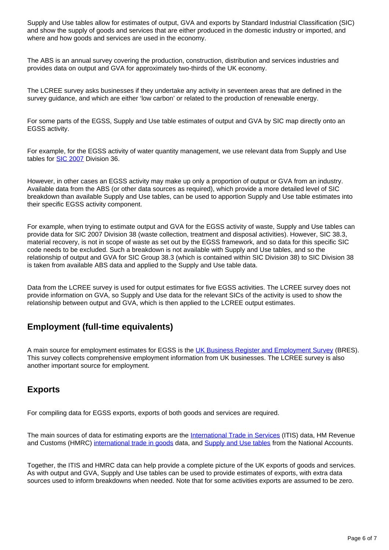Supply and Use tables allow for estimates of output, GVA and exports by Standard Industrial Classification (SIC) and show the supply of goods and services that are either produced in the domestic industry or imported, and where and how goods and services are used in the economy.

The ABS is an annual survey covering the production, construction, distribution and services industries and provides data on output and GVA for approximately two-thirds of the UK economy.

The LCREE survey asks businesses if they undertake any activity in seventeen areas that are defined in the survey guidance, and which are either 'low carbon' or related to the production of renewable energy.

For some parts of the EGSS, Supply and Use table estimates of output and GVA by SIC map directly onto an EGSS activity.

For example, for the EGSS activity of water quantity management, we use relevant data from Supply and Use tables for [SIC 2007](https://onsdigital.github.io/dp-classification-tools/standard-industrial-classification/ONS_SIC_hierarchy_view.html) Division 36.

However, in other cases an EGSS activity may make up only a proportion of output or GVA from an industry. Available data from the ABS (or other data sources as required), which provide a more detailed level of SIC breakdown than available Supply and Use tables, can be used to apportion Supply and Use table estimates into their specific EGSS activity component.

For example, when trying to estimate output and GVA for the EGSS activity of waste, Supply and Use tables can provide data for SIC 2007 Division 38 (waste collection, treatment and disposal activities). However, SIC 38.3, material recovery, is not in scope of waste as set out by the EGSS framework, and so data for this specific SIC code needs to be excluded. Such a breakdown is not available with Supply and Use tables, and so the relationship of output and GVA for SIC Group 38.3 (which is contained within SIC Division 38) to SIC Division 38 is taken from available ABS data and applied to the Supply and Use table data.

Data from the LCREE survey is used for output estimates for five EGSS activities. The LCREE survey does not provide information on GVA, so Supply and Use data for the relevant SICs of the activity is used to show the relationship between output and GVA, which is then applied to the LCREE output estimates.

#### **Employment (full-time equivalents)**

A main source for employment estimates for EGSS is the [UK Business Register and Employment Survey](https://www.ons.gov.uk/employmentandlabourmarket/peopleinwork/employmentandemployeetypes/bulletins/businessregisterandemploymentsurveybresprovisionalresults/previousReleases) (BRES). This survey collects comprehensive employment information from UK businesses. The LCREE survey is also another important source for employment.

#### **Exports**

For compiling data for EGSS exports, exports of both goods and services are required.

The main sources of data for estimating exports are the [International Trade in Services](https://www.ons.gov.uk/businessindustryandtrade/internationaltrade/methodologies/internationaltradeinservicesqmi) (ITIS) data, HM Revenue and Customs (HMRC) [international trade in goods](https://www.uktradeinfo.com/) data, and [Supply and Use tables](https://www.ons.gov.uk/economy/nationalaccounts/supplyandusetables/datasets/inputoutputsupplyandusetables) from the National Accounts.

Together, the ITIS and HMRC data can help provide a complete picture of the UK exports of goods and services. As with output and GVA, Supply and Use tables can be used to provide estimates of exports, with extra data sources used to inform breakdowns when needed. Note that for some activities exports are assumed to be zero.